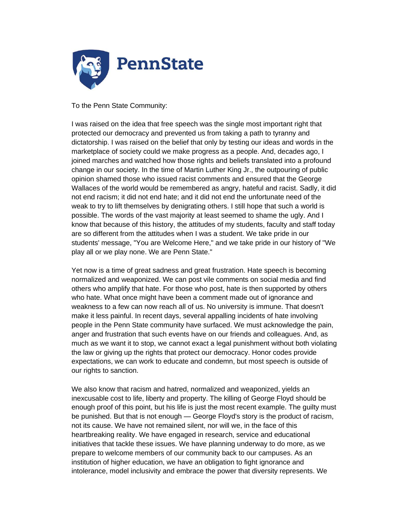

To the Penn State Community:

I was raised on the idea that free speech was the single most important right that protected our democracy and prevented us from taking a path to tyranny and dictatorship. I was raised on the belief that only by testing our ideas and words in the marketplace of society could we make progress as a people. And, decades ago, I joined marches and watched how those rights and beliefs translated into a profound change in our society. In the time of Martin Luther King Jr., the outpouring of public opinion shamed those who issued racist comments and ensured that the George Wallaces of the world would be remembered as angry, hateful and racist. Sadly, it did not end racism; it did not end hate; and it did not end the unfortunate need of the weak to try to lift themselves by denigrating others. I still hope that such a world is possible. The words of the vast majority at least seemed to shame the ugly. And I know that because of this history, the attitudes of my students, faculty and staff today are so different from the attitudes when I was a student. We take pride in our students' message, "You are Welcome Here," and we take pride in our history of "We play all or we play none. We are Penn State."

Yet now is a time of great sadness and great frustration. Hate speech is becoming normalized and weaponized. We can post vile comments on social media and find others who amplify that hate. For those who post, hate is then supported by others who hate. What once might have been a comment made out of ignorance and weakness to a few can now reach all of us. No university is immune. That doesn't make it less painful. In recent days, several appalling incidents of hate involving people in the Penn State community have surfaced. We must acknowledge the pain, anger and frustration that such events have on our friends and colleagues. And, as much as we want it to stop, we cannot exact a legal punishment without both violating the law or giving up the rights that protect our democracy. Honor codes provide expectations, we can work to educate and condemn, but most speech is outside of our rights to sanction.

We also know that racism and hatred, normalized and weaponized, yields an inexcusable cost to life, liberty and property. The killing of George Floyd should be enough proof of this point, but his life is just the most recent example. The guilty must be punished. But that is not enough — George Floyd's story is the product of racism, not its cause. We have not remained silent, nor will we, in the face of this heartbreaking reality. We have engaged in research, service and educational initiatives that tackle these issues. We have planning underway to do more, as we prepare to welcome members of our community back to our campuses. As an institution of higher education, we have an obligation to fight ignorance and intolerance, model inclusivity and embrace the power that diversity represents. We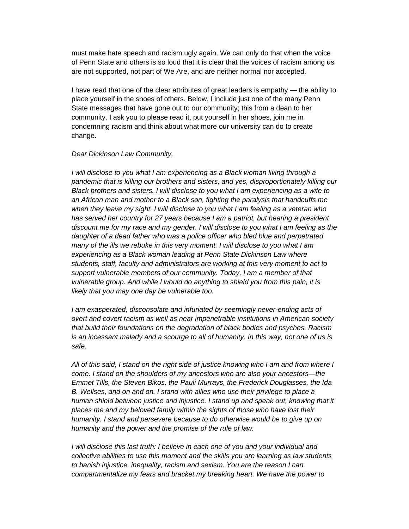must make hate speech and racism ugly again. We can only do that when the voice of Penn State and others is so loud that it is clear that the voices of racism among us are not supported, not part of We Are, and are neither normal nor accepted.

I have read that one of the clear attributes of great leaders is empathy — the ability to place yourself in the shoes of others. Below, I include just one of the many Penn State messages that have gone out to our community; this from a dean to her community. I ask you to please read it, put yourself in her shoes, join me in condemning racism and think about what more our university can do to create change.

## *Dear Dickinson Law Community,*

*I will disclose to you what I am experiencing as a Black woman living through a pandemic that is killing our brothers and sisters, and yes, disproportionately killing our Black brothers and sisters. I will disclose to you what I am experiencing as a wife to an African man and mother to a Black son, fighting the paralysis that handcuffs me when they leave my sight. I will disclose to you what I am feeling as a veteran who has served her country for 27 years because I am a patriot, but hearing a president discount me for my race and my gender. I will disclose to you what I am feeling as the daughter of a dead father who was a police officer who bled blue and perpetrated many of the ills we rebuke in this very moment. I will disclose to you what I am experiencing as a Black woman leading at Penn State Dickinson Law where students, staff, faculty and administrators are working at this very moment to act to support vulnerable members of our community. Today, I am a member of that vulnerable group. And while I would do anything to shield you from this pain, it is likely that you may one day be vulnerable too.*

*I* am exasperated, disconsolate and infuriated by seemingly never-ending acts of *overt and covert racism as well as near impenetrable institutions in American society that build their foundations on the degradation of black bodies and psyches. Racism is an incessant malady and a scourge to all of humanity. In this way, not one of us is safe.*

*All of this said, I stand on the right side of justice knowing who I am and from where I come. I stand on the shoulders of my ancestors who are also your ancestors—the Emmet Tills, the Steven Bikos, the Pauli Murrays, the Frederick Douglasses, the Ida B. Wellses, and on and on. I stand with allies who use their privilege to place a human shield between justice and injustice. I stand up and speak out, knowing that it places me and my beloved family within the sights of those who have lost their humanity. I stand and persevere because to do otherwise would be to give up on humanity and the power and the promise of the rule of law.*

*I will disclose this last truth: I believe in each one of you and your individual and collective abilities to use this moment and the skills you are learning as law students to banish injustice, inequality, racism and sexism. You are the reason I can compartmentalize my fears and bracket my breaking heart. We have the power to*